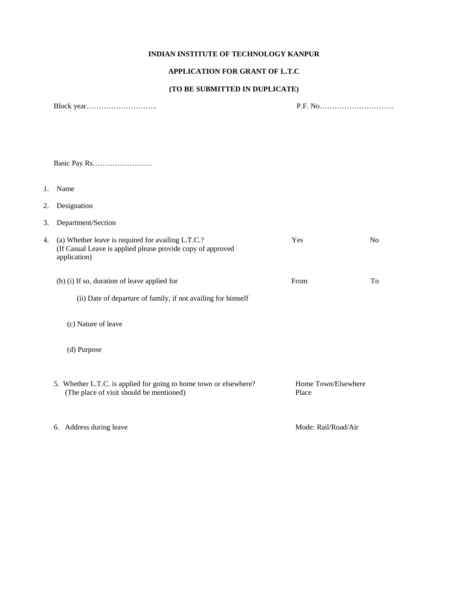#### **INDIAN INSTITUTE OF TECHNOLOGY KANPUR**

#### **APPLICATION FOR GRANT OF L.T.C**

## **(TO BE SUBMITTED IN DUPLICATE)**

|    |                                                                                                                                   | P.F. No                      |                |  |
|----|-----------------------------------------------------------------------------------------------------------------------------------|------------------------------|----------------|--|
|    |                                                                                                                                   |                              |                |  |
|    |                                                                                                                                   |                              |                |  |
| 1. | Name                                                                                                                              |                              |                |  |
| 2. | Designation                                                                                                                       |                              |                |  |
| 3. | Department/Section                                                                                                                |                              |                |  |
| 4. | (a) Whether leave is required for availing L.T.C.?<br>(If Casual Leave is applied please provide copy of approved<br>application) | Yes                          | N <sub>o</sub> |  |
|    | (b) (i) If so, duration of leave applied for                                                                                      | From                         | To             |  |
|    | (ii) Date of departure of family, if not availing for himself                                                                     |                              |                |  |
|    | (c) Nature of leave                                                                                                               |                              |                |  |
|    | (d) Purpose                                                                                                                       |                              |                |  |
|    | 5. Whether L.T.C. is applied for going to home town or elsewhere?<br>(The place of visit should be mentioned)                     | Home Town/Elsewhere<br>Place |                |  |
|    | 6. Address during leave                                                                                                           | Mode: Rail/Road/Air          |                |  |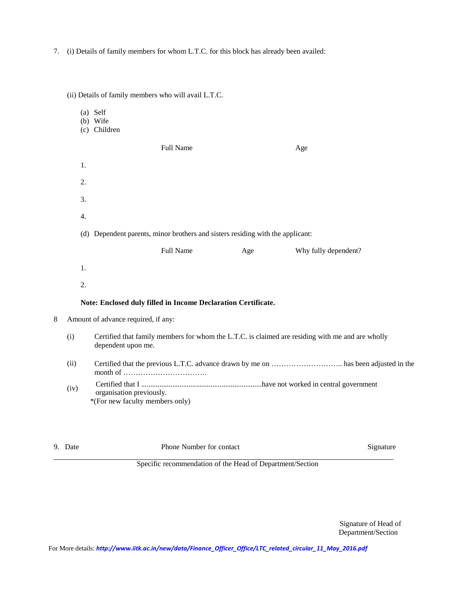7. (i) Details of family members for whom L.T.C. for this block has already been availed:

|                                                                                                                               |      |                                                             | (ii) Details of family members who will avail L.T.C.          |     |                      |  |  |  |
|-------------------------------------------------------------------------------------------------------------------------------|------|-------------------------------------------------------------|---------------------------------------------------------------|-----|----------------------|--|--|--|
|                                                                                                                               |      | (a) Self<br>(b) Wife<br>(c) Children                        |                                                               |     |                      |  |  |  |
|                                                                                                                               |      |                                                             | Full Name                                                     |     | Age                  |  |  |  |
|                                                                                                                               | 1.   |                                                             |                                                               |     |                      |  |  |  |
|                                                                                                                               | 2.   |                                                             |                                                               |     |                      |  |  |  |
|                                                                                                                               | 3.   |                                                             |                                                               |     |                      |  |  |  |
|                                                                                                                               | 4.   |                                                             |                                                               |     |                      |  |  |  |
| (d) Dependent parents, minor brothers and sisters residing with the applicant:                                                |      |                                                             |                                                               |     |                      |  |  |  |
|                                                                                                                               |      |                                                             | Full Name                                                     | Age | Why fully dependent? |  |  |  |
|                                                                                                                               | 1.   |                                                             |                                                               |     |                      |  |  |  |
|                                                                                                                               | 2.   |                                                             |                                                               |     |                      |  |  |  |
|                                                                                                                               |      |                                                             | Note: Enclosed duly filled in Income Declaration Certificate. |     |                      |  |  |  |
| 8<br>Amount of advance required, if any:                                                                                      |      |                                                             |                                                               |     |                      |  |  |  |
| (i)<br>Certified that family members for whom the L.T.C. is claimed are residing with me and are wholly<br>dependent upon me. |      |                                                             |                                                               |     |                      |  |  |  |
|                                                                                                                               |      |                                                             |                                                               |     |                      |  |  |  |
|                                                                                                                               | (iv) | organisation previously.<br>*(For new faculty members only) |                                                               |     |                      |  |  |  |
|                                                                                                                               |      |                                                             |                                                               |     |                      |  |  |  |

9. Date Phone Number for contact Signature Signature

Specific recommendation of the Head of Department/Section

Signature of Head of Department/Section